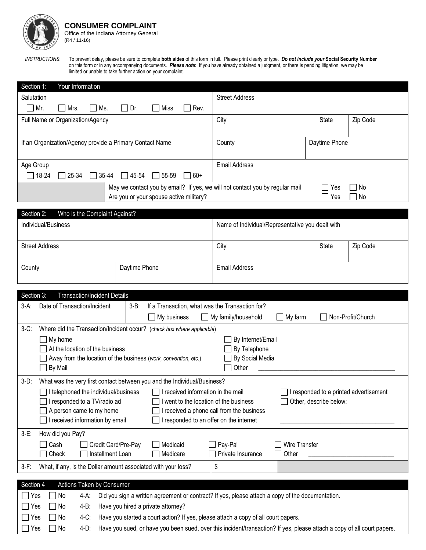

*INSTRUCTIONS*: To prevent delay, please be sure to complete **both sides** of this form in full. Please print clearly or type. *Do not include your* **Social Security Number** on this form or in any accompanying documents. *Please note***:** If you have already obtained a judgment, or there is pending litigation, we may be limited or unable to take further action on your complaint.

| Salutation                                                                                                            | <b>Street Address</b>                                  |                                        |  |
|-----------------------------------------------------------------------------------------------------------------------|--------------------------------------------------------|----------------------------------------|--|
| Mr.<br>Ms.<br>Dr.<br>Miss<br>Rev.<br>Mrs.<br>$\mathbf{L}$                                                             |                                                        |                                        |  |
| Full Name or Organization/Agency                                                                                      | City                                                   | <b>State</b><br>Zip Code               |  |
|                                                                                                                       |                                                        |                                        |  |
| If an Organization/Agency provide a Primary Contact Name                                                              | County                                                 | Daytime Phone                          |  |
|                                                                                                                       |                                                        |                                        |  |
| Age Group                                                                                                             | <b>Email Address</b>                                   |                                        |  |
| $\Box$ 18-24<br>$\Box$ 45-54<br>$\Box$ 55-59<br>25-34<br>$ 35-44$<br>$60+$<br>$\sim 1$                                |                                                        |                                        |  |
| May we contact you by email? If yes, we will not contact you by regular mail                                          |                                                        | Yes<br>No                              |  |
| Are you or your spouse active military?                                                                               |                                                        | No<br>Yes                              |  |
|                                                                                                                       |                                                        |                                        |  |
| Section 2:<br>Who is the Complaint Against?                                                                           |                                                        |                                        |  |
| Individual/Business                                                                                                   | Name of Individual/Representative you dealt with       |                                        |  |
|                                                                                                                       |                                                        |                                        |  |
| <b>Street Address</b>                                                                                                 | City                                                   | State<br>Zip Code                      |  |
|                                                                                                                       |                                                        |                                        |  |
| Daytime Phone<br>County                                                                                               | <b>Email Address</b>                                   |                                        |  |
|                                                                                                                       |                                                        |                                        |  |
| Section 3:<br><b>Transaction/Incident Details</b>                                                                     |                                                        |                                        |  |
| Date of Transaction/Incident<br>If a Transaction, what was the Transaction for?<br>$3-B$ :<br>3-A:                    |                                                        |                                        |  |
| My business                                                                                                           | My family/household<br>] My farm                       | Non-Profit/Church                      |  |
| $3-C$ :<br>Where did the Transaction/Incident occur? (check box where applicable)                                     |                                                        |                                        |  |
| My home                                                                                                               |                                                        |                                        |  |
| At the location of the business                                                                                       | By Internet/Email<br>By Telephone                      |                                        |  |
|                                                                                                                       |                                                        |                                        |  |
|                                                                                                                       |                                                        |                                        |  |
| Away from the location of the business (work, convention, etc.)<br>By Mail                                            | By Social Media<br>Other                               |                                        |  |
|                                                                                                                       |                                                        |                                        |  |
| $3-D$ :<br>What was the very first contact between you and the Individual/Business?                                   |                                                        |                                        |  |
| I telephoned the individual/business<br>I received information in the mail                                            |                                                        | I responded to a printed advertisement |  |
| I responded to a TV/radio ad<br>I went to the location of the business                                                | received a phone call from the business                | Other, describe below:                 |  |
| A person came to my home<br>I received information by email<br>I responded to an offer on the internet                |                                                        |                                        |  |
|                                                                                                                       |                                                        |                                        |  |
| How did you Pay?<br>$3-E$ :                                                                                           |                                                        |                                        |  |
| Cash<br>Credit Card/Pre-Pay<br>Medicaid<br>Check<br>Installment Loan<br>Medicare                                      | Wire Transfer<br>Pay-Pal<br>Private Insurance<br>Other |                                        |  |
|                                                                                                                       |                                                        |                                        |  |
| What, if any, is the Dollar amount associated with your loss?<br>$3-F:$                                               | \$                                                     |                                        |  |
| Section 4<br>Actions Taken by Consumer                                                                                |                                                        |                                        |  |
| Did you sign a written agreement or contract? If yes, please attach a copy of the documentation.<br>Yes<br>No<br>4-A: |                                                        |                                        |  |
| $\exists$ No<br>Have you hired a private attorney?<br>4-B:<br>Yes                                                     |                                                        |                                        |  |
| $\exists$ No<br>Have you started a court action? If yes, please attach a copy of all court papers.<br>$4-C$ :<br>Yes  |                                                        |                                        |  |